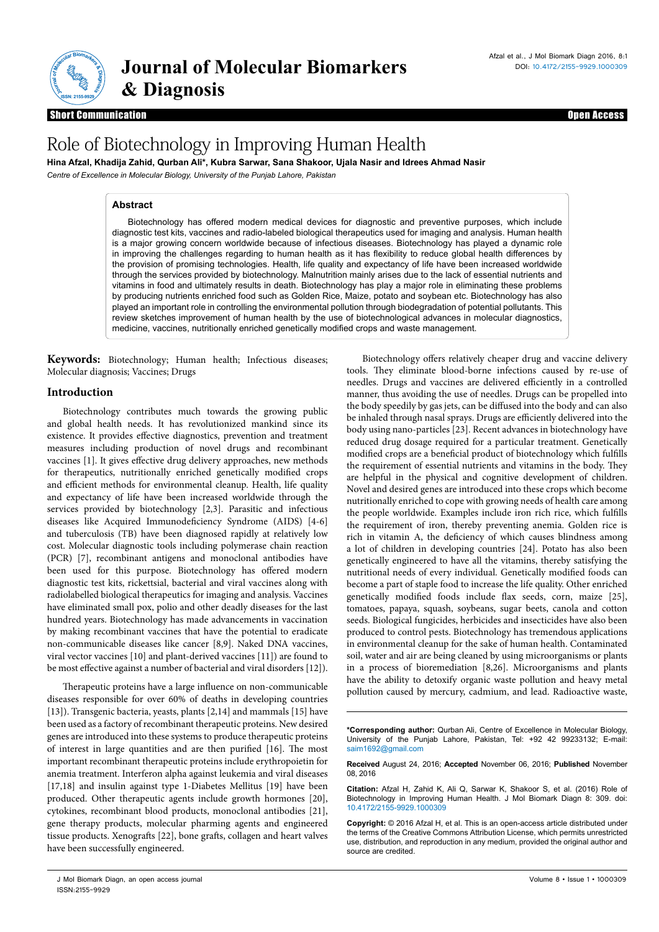

Short Communication Open Access

# Role of Biotechnology in Improving Human Health

**Hina Afzal, Khadija Zahid, Qurban Ali\*, Kubra Sarwar, Sana Shakoor, Ujala Nasir and Idrees Ahmad Nasir** 

*Centre of Excellence in Molecular Biology, University of the Punjab Lahore, Pakistan*

# **Abstract**

Biotechnology has offered modern medical devices for diagnostic and preventive purposes, which include diagnostic test kits, vaccines and radio-labeled biological therapeutics used for imaging and analysis. Human health is a major growing concern worldwide because of infectious diseases. Biotechnology has played a dynamic role in improving the challenges regarding to human health as it has flexibility to reduce global health differences by the provision of promising technologies. Health, life quality and expectancy of life have been increased worldwide through the services provided by biotechnology. Malnutrition mainly arises due to the lack of essential nutrients and vitamins in food and ultimately results in death. Biotechnology has play a major role in eliminating these problems by producing nutrients enriched food such as Golden Rice, Maize, potato and soybean etc. Biotechnology has also played an important role in controlling the environmental pollution through biodegradation of potential pollutants. This review sketches improvement of human health by the use of biotechnological advances in molecular diagnostics, medicine, vaccines, nutritionally enriched genetically modified crops and waste management.

**Keywords:** Biotechnology; Human health; Infectious diseases; Molecular diagnosis; Vaccines; Drugs

# **Introduction**

Biotechnology contributes much towards the growing public and global health needs. It has revolutionized mankind since its existence. It provides effective diagnostics, prevention and treatment measures including production of novel drugs and recombinant vaccines [1]. It gives effective drug delivery approaches, new methods for therapeutics, nutritionally enriched genetically modified crops and efficient methods for environmental cleanup. Health, life quality and expectancy of life have been increased worldwide through the services provided by biotechnology [2,3]. Parasitic and infectious diseases like Acquired Immunodeficiency Syndrome (AIDS) [4-6] and tuberculosis (TB) have been diagnosed rapidly at relatively low cost. Molecular diagnostic tools including polymerase chain reaction (PCR) [7], recombinant antigens and monoclonal antibodies have been used for this purpose. Biotechnology has offered modern diagnostic test kits, rickettsial, bacterial and viral vaccines along with radiolabelled biological therapeutics for imaging and analysis. Vaccines have eliminated small pox, polio and other deadly diseases for the last hundred years. Biotechnology has made advancements in vaccination by making recombinant vaccines that have the potential to eradicate non-communicable diseases like cancer [8,9]. Naked DNA vaccines, viral vector vaccines [10] and plant-derived vaccines [11]) are found to be most effective against a number of bacterial and viral disorders [12]).

Therapeutic proteins have a large influence on non-communicable diseases responsible for over 60% of deaths in developing countries [13]). Transgenic bacteria, yeasts, plants [2,14] and mammals [15] have been used as a factory of recombinant therapeutic proteins. New desired genes are introduced into these systems to produce therapeutic proteins of interest in large quantities and are then purified [16]. The most important recombinant therapeutic proteins include erythropoietin for anemia treatment. Interferon alpha against leukemia and viral diseases [17,18] and insulin against type 1-Diabetes Mellitus [19] have been produced. Other therapeutic agents include growth hormones [20], cytokines, recombinant blood products, monoclonal antibodies [21], gene therapy products, molecular pharming agents and engineered tissue products. Xenografts [22], bone grafts, collagen and heart valves have been successfully engineered.

Biotechnology offers relatively cheaper drug and vaccine delivery tools. They eliminate blood-borne infections caused by re-use of needles. Drugs and vaccines are delivered efficiently in a controlled manner, thus avoiding the use of needles. Drugs can be propelled into the body speedily by gas jets, can be diffused into the body and can also be inhaled through nasal sprays. Drugs are efficiently delivered into the body using nano-particles [23]. Recent advances in biotechnology have reduced drug dosage required for a particular treatment. Genetically modified crops are a beneficial product of biotechnology which fulfills the requirement of essential nutrients and vitamins in the body. They are helpful in the physical and cognitive development of children. Novel and desired genes are introduced into these crops which become nutritionally enriched to cope with growing needs of health care among the people worldwide. Examples include iron rich rice, which fulfills the requirement of iron, thereby preventing anemia. Golden rice is rich in vitamin A, the deficiency of which causes blindness among a lot of children in developing countries [24]. Potato has also been genetically engineered to have all the vitamins, thereby satisfying the nutritional needs of every individual. Genetically modified foods can become a part of staple food to increase the life quality. Other enriched genetically modified foods include flax seeds, corn, maize [25], tomatoes, papaya, squash, soybeans, sugar beets, canola and cotton seeds. Biological fungicides, herbicides and insecticides have also been produced to control pests. Biotechnology has tremendous applications in environmental cleanup for the sake of human health. Contaminated soil, water and air are being cleaned by using microorganisms or plants in a process of bioremediation [8,26]. Microorganisms and plants have the ability to detoxify organic waste pollution and heavy metal pollution caused by mercury, cadmium, and lead. Radioactive waste,

**Received** August 24, 2016; **Accepted** November 06, 2016; **Published** November 08, 2016

**Citation:** Afzal H, Zahid K, Ali Q, Sarwar K, Shakoor S, et al. (2016) Role of Biotechnology in Improving Human Health. J Mol Biomark Diagn 8: 309. doi: 10.4172/2155-9929.1000309

**Copyright:** © 2016 Afzal H, et al. This is an open-access article distributed under the terms of the Creative Commons Attribution License, which permits unrestricted use, distribution, and reproduction in any medium, provided the original author and source are credited.

**<sup>\*</sup>Corresponding author:** Qurban Ali, Centre of Excellence in Molecular Biology, University of the Punjab Lahore, Pakistan, Tel: +92 42 99233132; E-mail: saim1692@gmail.com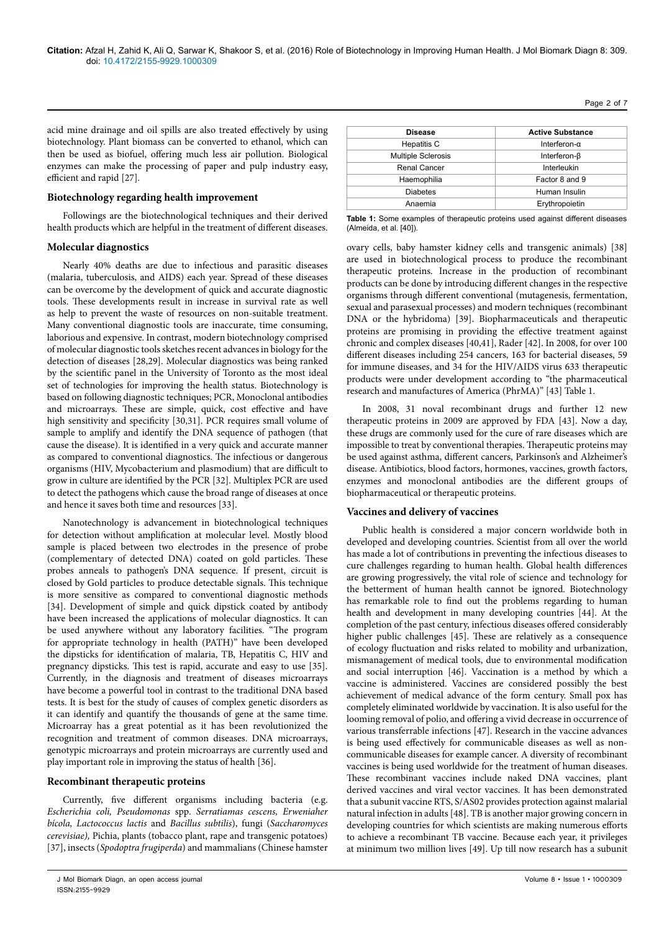acid mine drainage and oil spills are also treated effectively by using biotechnology. Plant biomass can be converted to ethanol, which can then be used as biofuel, offering much less air pollution. Biological enzymes can make the processing of paper and pulp industry easy, efficient and rapid [27].

## **Biotechnology regarding health improvement**

Followings are the biotechnological techniques and their derived health products which are helpful in the treatment of different diseases.

## **Molecular diagnostics**

Nearly 40% deaths are due to infectious and parasitic diseases (malaria, tuberculosis, and AIDS) each year. Spread of these diseases can be overcome by the development of quick and accurate diagnostic tools. These developments result in increase in survival rate as well as help to prevent the waste of resources on non-suitable treatment. Many conventional diagnostic tools are inaccurate, time consuming, laborious and expensive. In contrast, modern biotechnology comprised of molecular diagnostic tools sketches recent advances in biology for the detection of diseases [28,29]. Molecular diagnostics was being ranked by the scientific panel in the University of Toronto as the most ideal set of technologies for improving the health status. Biotechnology is based on following diagnostic techniques; PCR, Monoclonal antibodies and microarrays. These are simple, quick, cost effective and have high sensitivity and specificity [30,31]. PCR requires small volume of sample to amplify and identify the DNA sequence of pathogen (that cause the disease). It is identified in a very quick and accurate manner as compared to conventional diagnostics. The infectious or dangerous organisms (HIV, Mycobacterium and plasmodium) that are difficult to grow in culture are identified by the PCR [32]. Multiplex PCR are used to detect the pathogens which cause the broad range of diseases at once and hence it saves both time and resources [33].

Nanotechnology is advancement in biotechnological techniques for detection without amplification at molecular level. Mostly blood sample is placed between two electrodes in the presence of probe (complementary of detected DNA) coated on gold particles. These probes anneals to pathogen's DNA sequence. If present, circuit is closed by Gold particles to produce detectable signals. This technique is more sensitive as compared to conventional diagnostic methods [34]. Development of simple and quick dipstick coated by antibody have been increased the applications of molecular diagnostics. It can be used anywhere without any laboratory facilities. "The program for appropriate technology in health (PATH)" have been developed the dipsticks for identification of malaria, TB, Hepatitis C, HIV and pregnancy dipsticks. This test is rapid, accurate and easy to use [35]. Currently, in the diagnosis and treatment of diseases microarrays have become a powerful tool in contrast to the traditional DNA based tests. It is best for the study of causes of complex genetic disorders as it can identify and quantify the thousands of gene at the same time. Microarray has a great potential as it has been revolutionized the recognition and treatment of common diseases. DNA microarrays, genotypic microarrays and protein microarrays are currently used and play important role in improving the status of health [36].

#### **Recombinant therapeutic proteins**

Currently, five different organisms including bacteria (e.g. *Escherichia coli, Pseudomonas* spp*. Serratiamas cescens, Erweniaher bícola, Lactococcus lactis* and *Bacillus subtilis*), fungi (*Saccharomyces cerevisiae),* Pichia, plants (tobacco plant, rape and transgenic potatoes) [37], insects (*Spodoptra frugiperda*) and mammalians (Chinese hamster

| <b>Disease</b>            | <b>Active Substance</b> |
|---------------------------|-------------------------|
| Hepatitis C               | Interferon- $\alpha$    |
| <b>Multiple Sclerosis</b> | Interferon- $\beta$     |
| Renal Cancer              | Interleukin             |
| Haemophilia               | Factor 8 and 9          |
| <b>Diabetes</b>           | Human Insulin           |
| Anaemia                   | Erythropoietin          |

**Table 1:** Some examples of therapeutic proteins used against different diseases (Almeida, et al. [40]).

ovary cells, baby hamster kidney cells and transgenic animals) [38] are used in biotechnological process to produce the recombinant therapeutic proteins. Increase in the production of recombinant products can be done by introducing different changes in the respective organisms through different conventional (mutagenesis, fermentation, sexual and parasexual processes) and modern techniques (recombinant DNA or the hybridoma) [39]. Biopharmaceuticals and therapeutic proteins are promising in providing the effective treatment against chronic and complex diseases [40,41], Rader [42]. In 2008, for over 100 different diseases including 254 cancers, 163 for bacterial diseases, 59 for immune diseases, and 34 for the HIV/AIDS virus 633 therapeutic products were under development according to "the pharmaceutical research and manufactures of America (PhrMA)" [43] Table 1.

In 2008, 31 noval recombinant drugs and further 12 new therapeutic proteins in 2009 are approved by FDA [43]. Now a day, these drugs are commonly used for the cure of rare diseases which are impossible to treat by conventional therapies. Therapeutic proteins may be used against asthma, different cancers, Parkinson's and Alzheimer's disease. Antibiotics, blood factors, hormones, vaccines, growth factors, enzymes and monoclonal antibodies are the different groups of biopharmaceutical or therapeutic proteins.

# **Vaccines and delivery of vaccines**

Public health is considered a major concern worldwide both in developed and developing countries. Scientist from all over the world has made a lot of contributions in preventing the infectious diseases to cure challenges regarding to human health. Global health differences are growing progressively, the vital role of science and technology for the betterment of human health cannot be ignored. Biotechnology has remarkable role to find out the problems regarding to human health and development in many developing countries [44]. At the completion of the past century, infectious diseases offered considerably higher public challenges [45]. These are relatively as a consequence of ecology fluctuation and risks related to mobility and urbanization, mismanagement of medical tools, due to environmental modification and social interruption [46]. Vaccination is a method by which a vaccine is administered. Vaccines are considered possibly the best achievement of medical advance of the form century. Small pox has completely eliminated worldwide by vaccination. It is also useful for the looming removal of polio, and offering a vivid decrease in occurrence of various transferrable infections [47]. Research in the vaccine advances is being used effectively for communicable diseases as well as noncommunicable diseases for example cancer. A diversity of recombinant vaccines is being used worldwide for the treatment of human diseases. These recombinant vaccines include naked DNA vaccines, plant derived vaccines and viral vector vaccines. It has been demonstrated that a subunit vaccine RTS, S/AS02 provides protection against malarial natural infection in adults [48]. TB is another major growing concern in developing countries for which scientists are making numerous efforts to achieve a recombinant TB vaccine. Because each year, it privileges at minimum two million lives [49]. Up till now research has a subunit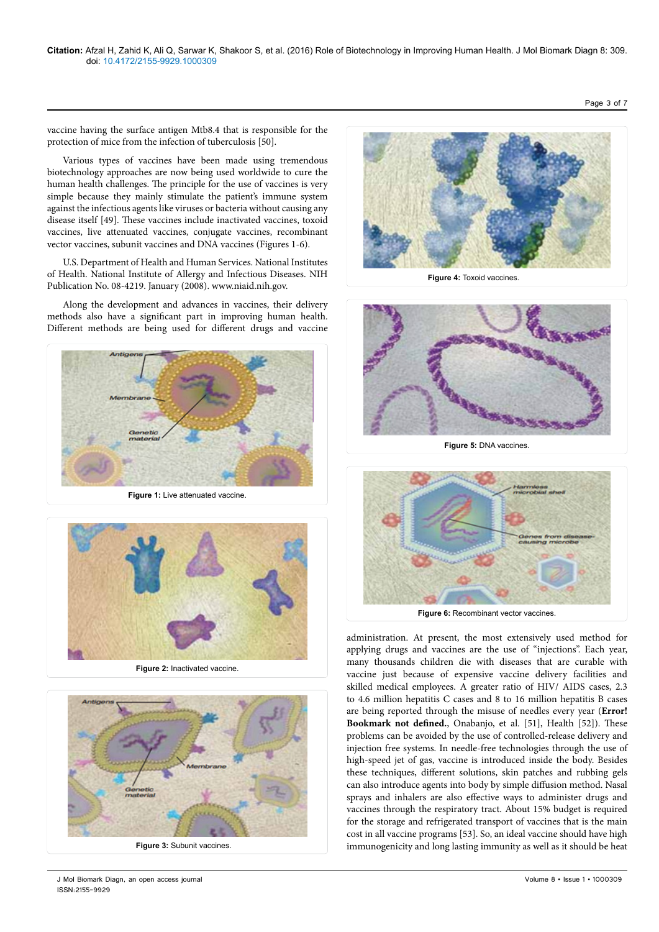vaccine having the surface antigen Mtb8.4 that is responsible for the protection of mice from the infection of tuberculosis [50].

Various types of vaccines have been made using tremendous biotechnology approaches are now being used worldwide to cure the human health challenges. The principle for the use of vaccines is very simple because they mainly stimulate the patient's immune system against the infectious agents like viruses or bacteria without causing any disease itself [49]. These vaccines include inactivated vaccines, toxoid vaccines, live attenuated vaccines, conjugate vaccines, recombinant vector vaccines, subunit vaccines and DNA vaccines (Figures 1-6).

U.S. Department of Health and Human Services. National Institutes of Health. National Institute of Allergy and Infectious Diseases. NIH Publication No. 08-4219. January (2008). [www.niaid.nih.gov](http://www.niaid.nih.gov).

Along the development and advances in vaccines, their delivery methods also have a significant part in improving human health. Different methods are being used for different drugs and vaccine



**Figure 1:** Live attenuated vaccine





**Figure 3:** Subunit vaccines.



**Figure 4:** Toxoid vaccines.



**Figure 5: DNA vaccines.** 



administration. At present, the most extensively used method for applying drugs and vaccines are the use of "injections". Each year, many thousands children die with diseases that are curable with vaccine just because of expensive vaccine delivery facilities and skilled medical employees. A greater ratio of HIV/ AIDS cases, 2.3 to 4.6 million hepatitis C cases and 8 to 16 million hepatitis B cases are being reported through the misuse of needles every year (**Error! Bookmark not defined.**, Onabanjo, et al. [51], Health [52]). These problems can be avoided by the use of controlled-release delivery and injection free systems. In needle-free technologies through the use of high-speed jet of gas, vaccine is introduced inside the body. Besides these techniques, different solutions, skin patches and rubbing gels can also introduce agents into body by simple diffusion method. Nasal sprays and inhalers are also effective ways to administer drugs and vaccines through the respiratory tract. About 15% budget is required for the storage and refrigerated transport of vaccines that is the main cost in all vaccine programs [53]. So, an ideal vaccine should have high immunogenicity and long lasting immunity as well as it should be heat

Page 3 of 7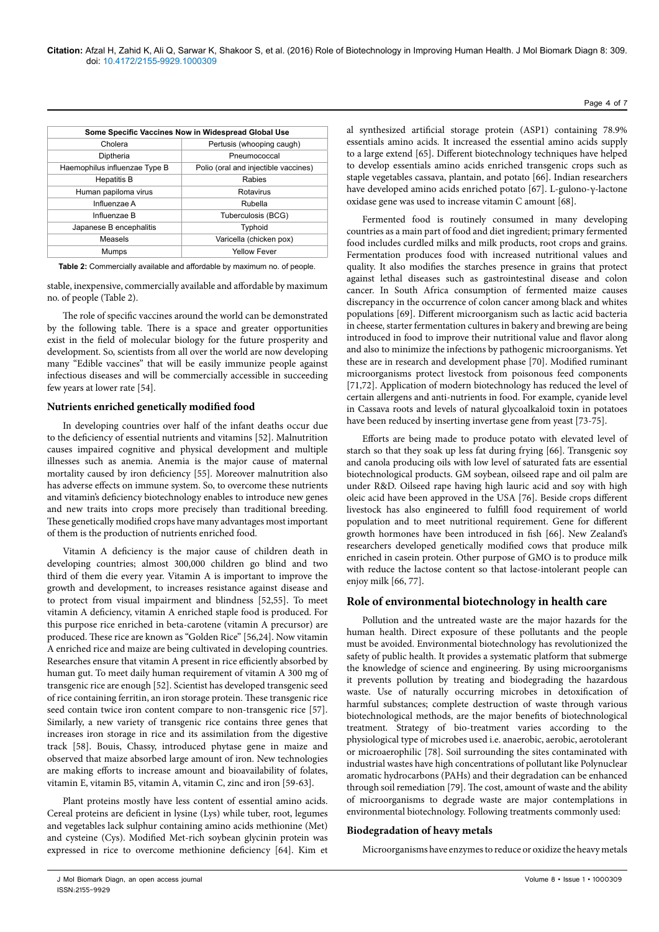| Some Specific Vaccines Now in Widespread Global Use |                                      |
|-----------------------------------------------------|--------------------------------------|
| Cholera                                             | Pertusis (whooping caugh)            |
| Diptheria                                           | Pneumococcal                         |
| Haemophilus influenzae Type B                       | Polio (oral and injectible vaccines) |
| <b>Hepatitis B</b>                                  | Rabies                               |
| Human papiloma virus                                | Rotavirus                            |
| Influenzae A                                        | Rubella                              |
| Influenzae B                                        | Tuberculosis (BCG)                   |
| Japanese B encephalitis                             | Typhoid                              |
| Measels                                             | Varicella (chicken pox)              |
| Mumps                                               | <b>Yellow Fever</b>                  |

**Table 2:** Commercially available and affordable by maximum no. of people.

stable, inexpensive, commercially available and affordable by maximum no. of people (Table 2).

The role of specific vaccines around the world can be demonstrated by the following table. There is a space and greater opportunities exist in the field of molecular biology for the future prosperity and development. So, scientists from all over the world are now developing many "Edible vaccines" that will be easily immunize people against infectious diseases and will be commercially accessible in succeeding few years at lower rate [54].

## **Nutrients enriched genetically modified food**

In developing countries over half of the infant deaths occur due to the deficiency of essential nutrients and vitamins [52]. Malnutrition causes impaired cognitive and physical development and multiple illnesses such as anemia. Anemia is the major cause of maternal mortality caused by iron deficiency [55]. Moreover malnutrition also has adverse effects on immune system. So, to overcome these nutrients and vitamin's deficiency biotechnology enables to introduce new genes and new traits into crops more precisely than traditional breeding. These genetically modified crops have many advantages most important of them is the production of nutrients enriched food.

Vitamin A deficiency is the major cause of children death in developing countries; almost 300,000 children go blind and two third of them die every year. Vitamin A is important to improve the growth and development, to increases resistance against disease and to protect from visual impairment and blindness [52,55]. To meet vitamin A deficiency, vitamin A enriched staple food is produced. For this purpose rice enriched in beta-carotene (vitamin A precursor) are produced. These rice are known as "Golden Rice" [56,24]. Now vitamin A enriched rice and maize are being cultivated in developing countries. Researches ensure that vitamin A present in rice efficiently absorbed by human gut. To meet daily human requirement of vitamin A 300 mg of transgenic rice are enough [52]. Scientist has developed transgenic seed of rice containing ferritin, an iron storage protein. These transgenic rice seed contain twice iron content compare to non-transgenic rice [57]. Similarly, a new variety of transgenic rice contains three genes that increases iron storage in rice and its assimilation from the digestive track [58]. Bouis, Chassy, introduced phytase gene in maize and observed that maize absorbed large amount of iron. New technologies are making efforts to increase amount and bioavailability of folates, vitamin E, vitamin B5, vitamin A, vitamin C, zinc and iron [59-63].

Plant proteins mostly have less content of essential amino acids. Cereal proteins are deficient in lysine (Lys) while tuber, root, legumes and vegetables lack sulphur containing amino acids methionine (Met) and cysteine (Cys). Modified Met-rich soybean glycinin protein was expressed in rice to overcome methionine deficiency [64]. Kim et al synthesized artificial storage protein (ASP1) containing 78.9% essentials amino acids. It increased the essential amino acids supply to a large extend [65]. Different biotechnology techniques have helped to develop essentials amino acids enriched transgenic crops such as staple vegetables cassava, plantain, and potato [66]. Indian researchers have developed amino acids enriched potato [67]. L-gulono-γ-lactone oxidase gene was used to increase vitamin C amount [68].

Fermented food is routinely consumed in many developing countries as a main part of food and diet ingredient; primary fermented food includes curdled milks and milk products, root crops and grains. Fermentation produces food with increased nutritional values and quality. It also modifies the starches presence in grains that protect against lethal diseases such as gastrointestinal disease and colon cancer. In South Africa consumption of fermented maize causes discrepancy in the occurrence of colon cancer among black and whites populations [69]. Different microorganism such as lactic acid bacteria in cheese, starter fermentation cultures in bakery and brewing are being introduced in food to improve their nutritional value and flavor along and also to minimize the infections by pathogenic microorganisms. Yet these are in research and development phase [70]. Modified ruminant microorganisms protect livestock from poisonous feed components [71,72]. Application of modern biotechnology has reduced the level of certain allergens and anti-nutrients in food. For example, cyanide level in Cassava roots and levels of natural glycoalkaloid toxin in potatoes have been reduced by inserting invertase gene from yeast [73-75].

Efforts are being made to produce potato with elevated level of starch so that they soak up less fat during frying [66]. Transgenic soy and canola producing oils with low level of saturated fats are essential biotechnological products. GM soybean, oilseed rape and oil palm are under R&D. Oilseed rape having high lauric acid and soy with high oleic acid have been approved in the USA [76]. Beside crops different livestock has also engineered to fulfill food requirement of world population and to meet nutritional requirement. Gene for different growth hormones have been introduced in fish [66]. New Zealand's researchers developed genetically modified cows that produce milk enriched in casein protein. Other purpose of GMO is to produce milk with reduce the lactose content so that lactose-intolerant people can enjoy milk [66, 77].

## **Role of environmental biotechnology in health care**

Pollution and the untreated waste are the major hazards for the human health. Direct exposure of these pollutants and the people must be avoided. Environmental biotechnology has revolutionized the safety of public health. It provides a systematic platform that submerge the knowledge of science and engineering. By using microorganisms it prevents pollution by treating and biodegrading the hazardous waste. Use of naturally occurring microbes in detoxification of harmful substances; complete destruction of waste through various biotechnological methods, are the major benefits of biotechnological treatment. Strategy of bio-treatment varies according to the physiological type of microbes used i.e. anaerobic, aerobic, aerotolerant or microaerophilic [78]. Soil surrounding the sites contaminated with industrial wastes have high concentrations of pollutant like Polynuclear aromatic hydrocarbons (PAHs) and their degradation can be enhanced through soil remediation [79]. The cost, amount of waste and the ability of microorganisms to degrade waste are major contemplations in environmental biotechnology. Following treatments commonly used:

#### **Biodegradation of heavy metals**

Microorganisms have enzymes to reduce or oxidize the heavy metals

Page 4 of 7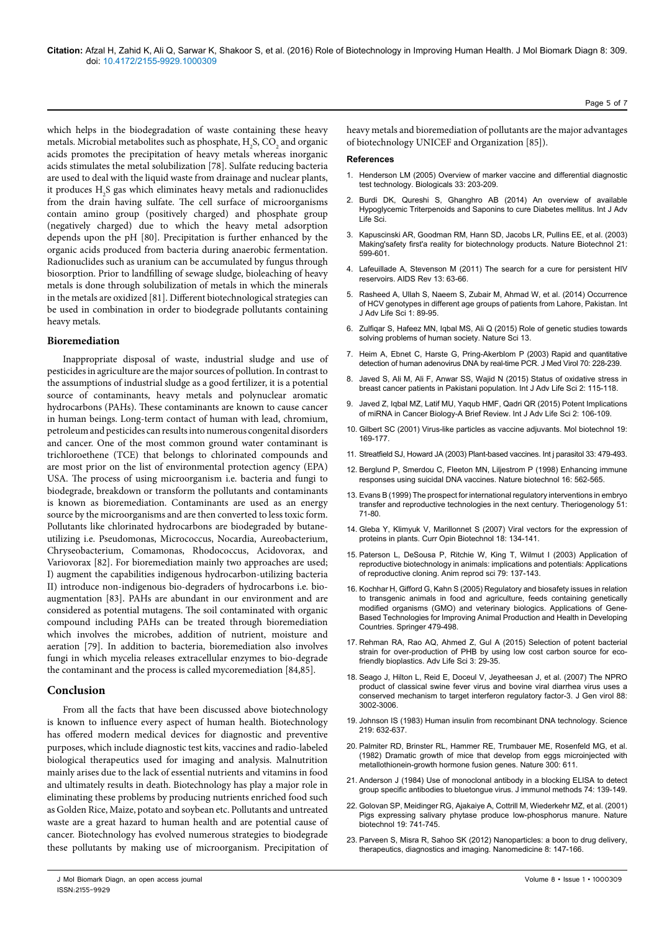which helps in the biodegradation of waste containing these heavy metals. Microbial metabolites such as phosphate,  $\mathrm{H}_2\mathrm{S}, \mathrm{CO}_2$  and organic acids promotes the precipitation of heavy metals whereas inorganic acids stimulates the metal solubilization [78]. Sulfate reducing bacteria are used to deal with the liquid waste from drainage and nuclear plants, it produces  $\mathrm{H}_2\mathrm{S}$  gas which eliminates heavy metals and radionuclides from the drain having sulfate. The cell surface of microorganisms contain amino group (positively charged) and phosphate group (negatively charged) due to which the heavy metal adsorption depends upon the pH [80]. Precipitation is further enhanced by the organic acids produced from bacteria during anaerobic fermentation. Radionuclides such as uranium can be accumulated by fungus through biosorption. Prior to landfilling of sewage sludge, bioleaching of heavy metals is done through solubilization of metals in which the minerals in the metals are oxidized [81]. Different biotechnological strategies can be used in combination in order to biodegrade pollutants containing heavy metals.

## **Bioremediation**

Inappropriate disposal of waste, industrial sludge and use of pesticides in agriculture are the major sources of pollution. In contrast to the assumptions of industrial sludge as a good fertilizer, it is a potential source of contaminants, heavy metals and polynuclear aromatic hydrocarbons (PAHs). These contaminants are known to cause cancer in human beings. Long-term contact of human with lead, chromium, petroleum and pesticides can results into numerous congenital disorders and cancer. One of the most common ground water contaminant is trichloroethene (TCE) that belongs to chlorinated compounds and are most prior on the list of environmental protection agency (EPA) USA. The process of using microorganism i.e. bacteria and fungi to biodegrade, breakdown or transform the pollutants and contaminants is known as bioremediation. Contaminants are used as an energy source by the microorganisms and are then converted to less toxic form. Pollutants like chlorinated hydrocarbons are biodegraded by butaneutilizing i.e. Pseudomonas, Micrococcus, Nocardia, Aureobacterium, Chryseobacterium, Comamonas, Rhodococcus, Acidovorax, and Variovorax [82]. For bioremediation mainly two approaches are used; I) augment the capabilities indigenous hydrocarbon-utilizing bacteria II) introduce non-indigenous bio-degraders of hydrocarbons i.e. bioaugmentation [83]. PAHs are abundant in our environment and are considered as potential mutagens. The soil contaminated with organic compound including PAHs can be treated through bioremediation which involves the microbes, addition of nutrient, moisture and aeration [79]. In addition to bacteria, bioremediation also involves fungi in which mycelia releases extracellular enzymes to bio-degrade the contaminant and the process is called mycoremediation [84,85].

# **Conclusion**

From all the facts that have been discussed above biotechnology is known to influence every aspect of human health. Biotechnology has offered modern medical devices for diagnostic and preventive purposes, which include diagnostic test kits, vaccines and radio-labeled biological therapeutics used for imaging and analysis. Malnutrition mainly arises due to the lack of essential nutrients and vitamins in food and ultimately results in death. Biotechnology has play a major role in eliminating these problems by producing nutrients enriched food such as Golden Rice, Maize, potato and soybean etc. Pollutants and untreated waste are a great hazard to human health and are potential cause of cancer. Biotechnology has evolved numerous strategies to biodegrade these pollutants by making use of microorganism. Precipitation of

heavy metals and bioremediation of pollutants are the major advantages of biotechnology UNICEF and Organization [85]).

Page 5 of 7

#### **References**

- 1. Henderson LM (2005) Overview of marker vaccine and differential diagnostic test technology. Biologicals 33: 203-209.
- 2. [Burdi DK, Qureshi S, Ghanghro AB \(2014\) An overview of available](http://www.als-journal.com/articles/vol1issue3/overview_available_Hypoglycemic_Triterpenoids_Saponins_Diabetes_mellitus.pdf)  [Hypoglycemic Triterpenoids and Saponins to cure Diabetes mellitus. Int J Adv](http://www.als-journal.com/articles/vol1issue3/overview_available_Hypoglycemic_Triterpenoids_Saponins_Diabetes_mellitus.pdf)  [Life Sci.](http://www.als-journal.com/articles/vol1issue3/overview_available_Hypoglycemic_Triterpenoids_Saponins_Diabetes_mellitus.pdf)
- 3. [Kapuscinski AR, Goodman RM, Hann SD, Jacobs LR, Pullins EE, et al. \(2003\)](http://www.nature.com/nbt/journal/v21/n6/full/nbt0603-599.html)  [Making'safety first'a reality for biotechnology products. Nature Biotechnol 21:](http://www.nature.com/nbt/journal/v21/n6/full/nbt0603-599.html)  [599-601.](http://www.nature.com/nbt/journal/v21/n6/full/nbt0603-599.html)
- 4. [Lafeuillade A, Stevenson M \(2011\) The search for a cure for persistent HIV](http://www.aidsreviews.com/resumen.asp?id=1136&indice=2011132&u=unp)  [reservoirs. AIDS Rev 13: 63-66.](http://www.aidsreviews.com/resumen.asp?id=1136&indice=2011132&u=unp)
- 5. [Rasheed A, Ullah S, Naeem S, Zubair M, Ahmad W, et al. \(2014\) Occurrence](http://www.als-journal.com/manuscriptid22-68-1/)  [of HCV genotypes in different age groups of patients from Lahore, Pakistan. Int](http://www.als-journal.com/manuscriptid22-68-1/)  [J Adv Life Sci 1: 89-95.](http://www.als-journal.com/manuscriptid22-68-1/)
- 6. [Zulfiqar S, Hafeez MN, Iqbal MS, Ali Q \(2015\) Role of genetic studies towards](http://www.sciencepub.net/nature/ns130415/003_28241ns130415_15_19.pdf)  [solving problems of human society. Nature Sci 13.](http://www.sciencepub.net/nature/ns130415/003_28241ns130415_15_19.pdf)
- 7. [Heim A, Ebnet C, Harste G, Pring-Akerblom P \(2003\) Rapid and quantitative](http://onlinelibrary.wiley.com/doi/10.1002/jmv.10382/abstract;jsessionid=795EB26D4095B3F221E8F87054534550.f02t04)  [detection of human adenovirus DNA by real-time PCR. J Med Virol 70: 228-239.](http://onlinelibrary.wiley.com/doi/10.1002/jmv.10382/abstract;jsessionid=795EB26D4095B3F221E8F87054534550.f02t04)
- 8. [Javed S, Ali M, Ali F, Anwar SS, Wajid N \(2015\) Status of oxidative stress in](http://www.als-journal.com/233-15/)  [breast cancer patients in Pakistani population. Int J Adv Life Sci 2: 115-118.](http://www.als-journal.com/233-15/)
- Javed Z, Iqbal MZ, Latif MU, Yaqub HMF, Qadri QR (2015) Potent Implications [of miRNA in Cancer Biology-A Brief Review. Int J Adv Life Sci 2: 106-109.](http://www.als-journal.com/231-15/)
- 10. [Gilbert SC \(2001\) Virus-like particles as vaccine adjuvants. Mol biotechnol 19:](http://link.springer.com/article/10.1385%2FMB%3A19%3A2%3A169)  [169-177.](http://link.springer.com/article/10.1385%2FMB%3A19%3A2%3A169)
- 11. Streatfield SJ, Howard JA (2003) Plant-based vaccines. Int j parasitol 33: 479-493.
- 12. [Berglund P, Smerdou C, Fleeton MN, Liljestrom P \(1998\) Enhancing immune](http://www.nature.com/nbt/journal/v16/n6/abs/nbt0698-562.html)  [responses using suicidal DNA vaccines. Nature biotechnol 16: 562-565.](http://www.nature.com/nbt/journal/v16/n6/abs/nbt0698-562.html)
- 13. Evans B (1999) The prospect for international regulatory interventions in embryo transfer and reproductive technologies in the next century. Theriogenology 51: 71-80.
- 14. Gleba Y, Klimyuk V, Marillonnet S (2007) Viral vectors for the expression of proteins in plants. Curr Opin Biotechnol 18: 134-141.
- 15. Paterson L, DeSousa P, Ritchie W, King T, Wilmut I (2003) Application of reproductive biotechnology in animals: implications and potentials: Applications of reproductive cloning. Anim reprod sci 79: 137-143.
- 16. Kochhar H, Gifford G, Kahn S (2005) Regulatory and biosafety issues in relation to transgenic animals in food and agriculture, feeds containing genetically modified organisms (GMO) and veterinary biologics. Applications of Gene-Based Technologies for Improving Animal Production and Health in Developing Countries. Springer 479-498.
- 17. [Rehman RA, Rao AQ, Ahmed Z, Gul A \(2015\) Selection of potent bacterial](http://www.als-journal.com/315-15/)  [strain for over-production of PHB by using low cost carbon source for eco](http://www.als-journal.com/315-15/)[friendly bioplastics. Adv Life Sci 3: 29-35.](http://www.als-journal.com/315-15/)
- 18. [Seago J, Hilton L, Reid E, Doceul V, Jeyatheesan J, et al. \(2007\) The NPRO](http://jgv.microbiologyresearch.org/content/journal/jgv/10.1099/vir.0.82934-0#tab2)  [product of classical swine fever virus and bovine viral diarrhea virus uses a](http://jgv.microbiologyresearch.org/content/journal/jgv/10.1099/vir.0.82934-0#tab2)  [conserved mechanism to target interferon regulatory factor-3. J Gen virol 88:](http://jgv.microbiologyresearch.org/content/journal/jgv/10.1099/vir.0.82934-0#tab2)  [3002-3006.](http://jgv.microbiologyresearch.org/content/journal/jgv/10.1099/vir.0.82934-0#tab2)
- 19. [Johnson IS \(1983\) Human insulin from recombinant DNA technology. Science](http://science.sciencemag.org/content/219/4585/632.long)  [219: 632-637.](http://science.sciencemag.org/content/219/4585/632.long)
- 20. [Palmiter RD, Brinster RL, Hammer RE, Trumbauer ME, Rosenfeld MG, et al.](http://www.nature.com/nature/journal/v300/n5893/abs/300611a0.html)  [\(1982\) Dramatic growth of mice that develop from eggs microinjected with](http://www.nature.com/nature/journal/v300/n5893/abs/300611a0.html)  [metallothionein-growth hormone fusion genes. Nature 300: 611.](http://www.nature.com/nature/journal/v300/n5893/abs/300611a0.html)
- 21. Anderson J (1984) Use of monoclonal antibody in a blocking ELISA to detect group specific antibodies to bluetongue virus. J immunol methods 74: 139-149.
- 22. [Golovan SP, Meidinger RG, Ajakaiye A, Cottrill M, Wiederkehr MZ, et al. \(2001\)](http://www.nature.com/nbt/journal/v19/n8/full/nbt0801_741.html)  [Pigs expressing salivary phytase produce low-phosphorus manure. Nature](http://www.nature.com/nbt/journal/v19/n8/full/nbt0801_741.html)  [biotechnol 19: 741-745.](http://www.nature.com/nbt/journal/v19/n8/full/nbt0801_741.html)
- 23. Parveen S, Misra R, Sahoo SK (2012) Nanoparticles: a boon to drug delivery, therapeutics, diagnostics and imaging. Nanomedicine 8: 147-166.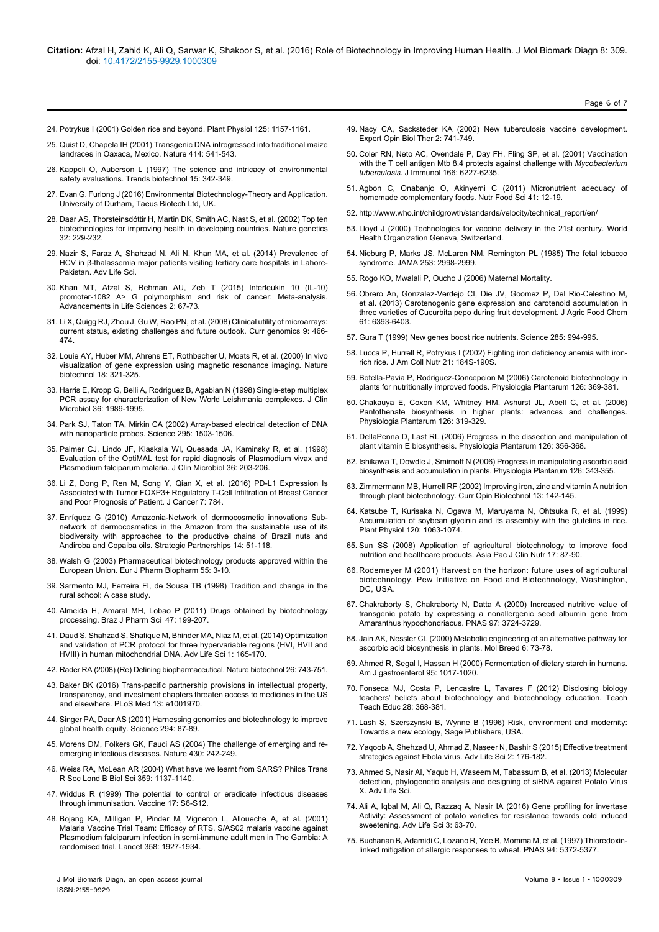- 24. [Potrykus I \(2001\) Golden rice and beyond. Plant Physiol 125: 1157-1161.](http://www.plantphysiol.org/content/125/3/1157.full)
- 25. [Quist D, Chapela IH \(2001\) Transgenic DNA introgressed into traditional maize](http://stopogm.net/sites/stopogm.net/files/QuistChapela.pdf) [landraces in Oaxaca, Mexico. Nature 414: 541-543.](http://stopogm.net/sites/stopogm.net/files/QuistChapela.pdf)
- 26. [Kappeli O, Auberson L \(1997\) The science and intricacy of environmental](http://www.cell.com/trends/biotechnology/abstract/S0167-7799(97)01083-4?_returnURL=http%3A%2F%2Flinkinghub.elsevier.com%2Fretrieve%2Fpii%2FS0167779997010834%3Fshowall%3Dtrue) [safety evaluations. Trends biotechnol 15: 342-349.](http://www.cell.com/trends/biotechnology/abstract/S0167-7799(97)01083-4?_returnURL=http%3A%2F%2Flinkinghub.elsevier.com%2Fretrieve%2Fpii%2FS0167779997010834%3Fshowall%3Dtrue)
- 27. [Evan G, Furlong J \(2016\) Environmental Biotechnology-Theory and Application.](http://www2.hcmuaf.edu.vn/data/quoctuan/Environmental Biotechnology  Theory and Application, G M Evans & J C Furlong.pdf) [University of Durham, Taeus Biotech Ltd, UK.](http://www2.hcmuaf.edu.vn/data/quoctuan/Environmental Biotechnology - Theory and Application, G M Evans & J C Furlong.pdf)
- 28. [Daar AS, Thorsteinsdóttir H, Martin DK, Smith AC, Nast S, et al. \(2002\) Top ten](http://www.nature.com/ng/journal/v32/n2/full/ng1002-229.html) [biotechnologies for improving health in developing countries. Nature genetics](http://www.nature.com/ng/journal/v32/n2/full/ng1002-229.html) [32: 229-232.](http://www.nature.com/ng/journal/v32/n2/full/ng1002-229.html)
- 29. Nazir S, Faraz A, Shahzad N, Ali N, Khan MA, et al. (2014) Prevalence of HCV in β-thalassemia major patients visiting tertiary care hospitals in Lahore-Pakistan. Adv Life Sci.
- 30. [Khan MT, Afzal S, Rehman AU, Zeb T \(2015\) Interleukin 10 \(IL-10\)](http://www.als-journal.com/224-15/) [promoter-1082 A> G polymorphism and risk of cancer: Meta-analysis.](http://www.als-journal.com/224-15/) [Advancements in Life Sciences 2: 67-73.](http://www.als-journal.com/224-15/)
- 31. [Li X, Quigg RJ, Zhou J, Gu W, Rao PN, et al. \(2008\) Clinical utility of microarrays:](file:///F:/Research%20%26%20Review/Research%20%26%20Review/JPN/JPN-Vol%204/JPN-Vol%204.3/JPN-Vol%204.3_AI/10.2174/138920208786241199) [current status, existing challenges and future outlook. Curr genomics 9: 466-](file:///F:/Research%20%26%20Review/Research%20%26%20Review/JPN/JPN-Vol%204/JPN-Vol%204.3/JPN-Vol%204.3_AI/10.2174/138920208786241199) [474.](file:///F:/Research%20%26%20Review/Research%20%26%20Review/JPN/JPN-Vol%204/JPN-Vol%204.3/JPN-Vol%204.3_AI/10.2174/138920208786241199)
- 32. [Louie AY, Huber MM, Ahrens ET, Rothbacher U, Moats R, et al. \(2000\) In vivo](http://www.nature.com/nbt/journal/v18/n3/abs/nbt0300_321.html) [visualization of gene expression using magnetic resonance imaging. Nature](http://www.nature.com/nbt/journal/v18/n3/abs/nbt0300_321.html) [biotechnol 18: 321-325.](http://www.nature.com/nbt/journal/v18/n3/abs/nbt0300_321.html)
- 33. [Harris E, Kropp G, Belli A, Rodriguez B, Agabian N \(1998\) Single-step multiplex](http://jcm.asm.org/content/36/7/1989.long) [PCR assay for characterization of New World Leishmania complexes. J Clin](http://jcm.asm.org/content/36/7/1989.long) [Microbiol 36: 1989-1995.](http://jcm.asm.org/content/36/7/1989.long)
- 34. [Park SJ, Taton TA, Mirkin CA \(2002\) Array-based electrical detection of DNA](http://science.sciencemag.org/content/295/5559/1503) [with nanoparticle probes. Science 295: 1503-1506.](http://science.sciencemag.org/content/295/5559/1503)
- 35. [Palmer CJ, Lindo JF, Klaskala WI, Quesada JA, Kaminsky R, et al. \(1998\)](http://jcm.asm.org/content/36/1/203.short) [Evaluation of the OptiMAL test for rapid diagnosis of Plasmodium vivax and](http://jcm.asm.org/content/36/1/203.short) [Plasmodium falciparum malaria. J Clin Microbiol 36: 203-206.](http://jcm.asm.org/content/36/1/203.short)
- 36. [Li Z, Dong P, Ren M, Song Y, Qian X, et al. \(2016\) PD-L1 Expression Is](http://www.jcancer.org/v07p0784.htm) [Associated with Tumor FOXP3+ Regulatory T-Cell Infiltration of Breast Cancer](http://www.jcancer.org/v07p0784.htm) [and Poor Prognosis of Patient. J Cancer 7: 784.](http://www.jcancer.org/v07p0784.htm)
- 37. [Enríquez G \(2010\) Amazonia-Network of dermocosmetic innovations Sub](http://seer.cgee.org.br/index.php/parcerias_estrategicas/article/view/342)[network of dermocosmetics in the Amazon from the sustainable use of its](http://seer.cgee.org.br/index.php/parcerias_estrategicas/article/view/342) [biodiversity with approaches to the productive chains of Brazil nuts and](http://seer.cgee.org.br/index.php/parcerias_estrategicas/article/view/342) [Andiroba and Copaiba oils. Strategic Partnerships 14: 51-118.](http://seer.cgee.org.br/index.php/parcerias_estrategicas/article/view/342)
- 38. [Walsh G \(2003\) Pharmaceutical biotechnology products approved within the](http://www.sciencedirect.com/science/article/pii/S0939641102001650?via%3Dihub) [European Union. Eur J Pharm Biopharm 55: 3-10.](http://www.sciencedirect.com/science/article/pii/S0939641102001650?via%3Dihub)
- 39. Sarmento MJ, Ferreira FI, de Sousa TB (1998) Tradition and change in the rural school: A case study.
- 40. [Almeida H, Amaral MH, Lobao P \(2011\) Drugs obtained by biotechnology](http://www.scielo.br/scielo.php?pid=S1984-82502011000200002&script=sci_arttext&tlng=pt) [processing. Braz J Pharm Sci 47: 199-207.](http://www.scielo.br/scielo.php?pid=S1984-82502011000200002&script=sci_arttext&tlng=pt)
- 41. [Daud S, Shahzad S, Shafique M, Bhinder MA, Niaz M, et al. \(2014\) Optimization](http://www.als-journal.com/submission/index.php/ALS/article/view/59) [and validation of PCR protocol for three hypervariable regions \(HVI, HVII and](http://www.als-journal.com/submission/index.php/ALS/article/view/59) [HVIII\) in human mitochondrial DNA. Adv Life Sci 1: 165-170.](http://www.als-journal.com/submission/index.php/ALS/article/view/59)
- 42. [Rader RA \(2008\) \(Re\) Defining biopharmaceutical. Nature biotechnol 26: 743-751.](http://www.nature.com/nbt/journal/v26/n7/full/nbt0708-743.html)
- 43. [Baker BK \(2016\) Trans-pacific partnership provisions in intellectual property,](http://journals.plos.org/plosmedicine/article?id=10.1371/journal.pmed.1001970) [transparency, and investment chapters threaten access to medicines in the US](http://journals.plos.org/plosmedicine/article?id=10.1371/journal.pmed.1001970) [and elsewhere. PLoS Med 13: e1001970.](http://journals.plos.org/plosmedicine/article?id=10.1371/journal.pmed.1001970)
- 44. [Singer PA, Daar AS \(2001\) Harnessing genomics and biotechnology to improve](http://science.sciencemag.org/content/294/5540/87.long) [global health equity. Science 294: 87-89.](http://science.sciencemag.org/content/294/5540/87.long)
- 45. [Morens DM, Folkers GK, Fauci AS \(2004\) The challenge of emerging and re](http://www.nature.com/nature/journal/v463/n7277/full/nature08554.html)[emerging infectious diseases. Nature 430: 242-249.](http://www.nature.com/nature/journal/v463/n7277/full/nature08554.html)
- 46. [Weiss RA, McLean AR \(2004\) What have we learnt from SARS? Philos Trans](http://rstb.royalsocietypublishing.org/content/359/1447/1137) [R Soc Lond B Biol Sci 359: 1137-1140.](http://rstb.royalsocietypublishing.org/content/359/1447/1137)
- 47. Widdus R (1999) The potential to control or eradicate infectious diseases through immunisation. Vaccine 17: S6-S12.
- 48. Bojang KA, Milligan P, Pinder M, Vigneron L, Alloueche A, et al. (2001) Malaria Vaccine Trial Team: Efficacy of RTS, S/AS02 malaria vaccine against Plasmodium falciparum infection in semi-immune adult men in The Gambia: A randomised trial. Lancet 358: 1927-1934.

49. Nacy CA, Sacksteder KA (2002) New tuberculosis vaccine development. Expert Opin Biol Ther 2: 741-749.

Page 6 of 7

- 50. [Coler RN, Neto AC, Ovendale P, Day FH, Fling SP, et al. \(2001\) Vaccination](http://www.jimmunol.org/content/166/10/6227.long)  [with the T cell antigen Mtb 8.4 protects against challenge with](http://www.jimmunol.org/content/166/10/6227.long) *Mycobacterium tuberculosis*[. J Immunol 166: 6227-6235.](http://www.jimmunol.org/content/166/10/6227.long)
- 51. [Agbon C, Onabanjo O, Akinyemi C \(2011\) Micronutrient adequacy of](http://www.emeraldinsight.com/doi/abs/10.1108/00346651111102856)  [homemade complementary foods. Nutr Food Sci 41: 12-19.](http://www.emeraldinsight.com/doi/abs/10.1108/00346651111102856)
- 52. [http://www.who.int/childgrowth/standards/velocity/technical\\_report/en/](http://www.who.int/childgrowth/standards/velocity/technical_report/en/)
- 53. [Lloyd J \(2000\) Technologies for vaccine delivery in the 21st century. World](http://www.path.org/vaccineresources/files/Vaccine-tech-21st-century.pdf)  Health Organization [Geneva, Switzerland.](http://www.path.org/vaccineresources/files/Vaccine-tech-21st-century.pdf)
- 54. [Nieburg P, Marks JS, McLaren NM, Remington PL \(1985\) The fetal tobacco](http://jamanetwork.com/journals/jama/article-abstract/398686)  [syndrome. JAMA 253: 2998-2999.](http://jamanetwork.com/journals/jama/article-abstract/398686)
- 55. [Rogo KO, Mwalali P, Oucho J \(2006\) Maternal Mortality.](https://www.ncbi.nlm.nih.gov/books/NBK2288/?report=reader)
- 56. [Obrero An, Gonzalez-Verdejo CI, Die JV, Goomez P, Del Rio-Celestino M,](http://pubs.acs.org/doi/abs/10.1021/jf4004576)  [et al. \(2013\) Carotenogenic gene expression and carotenoid accumulation in](http://pubs.acs.org/doi/abs/10.1021/jf4004576)  [three varieties of Cucurbita pepo during fruit development. J Agric Food Chem](http://pubs.acs.org/doi/abs/10.1021/jf4004576)  [61: 6393-6403.](http://pubs.acs.org/doi/abs/10.1021/jf4004576)
- 57. [Gura T \(1999\) New genes boost rice nutrients. Science 285: 994-995.](http://science.sciencemag.org/content/285/5430/994)
- 58. [Lucca P, Hurrell R, Potrykus I \(2002\) Fighting iron deficiency anemia with iron](http://www.tandfonline.com/doi/abs/10.1080/07315724.2002.10719264)[rich rice. J Am Coll Nutr 21: 184S-190S.](http://www.tandfonline.com/doi/abs/10.1080/07315724.2002.10719264)
- 59. [Botella-Pavia P, Rodriguez-Concepcion M \(2006\) Carotenoid biotechnology in](http://onlinelibrary.wiley.com/doi/10.1111/j.1399-3054.2006.00632.x/full)  [plants for nutritionally improved foods. Physiologia Plantarum 126: 369-381.](http://onlinelibrary.wiley.com/doi/10.1111/j.1399-3054.2006.00632.x/full)
- 60. [Chakauya E, Coxon KM, Whitney HM, Ashurst JL, Abell C, et al. \(2006\)](http://onlinelibrary.wiley.com/doi/10.1111/j.1399-3054.2006.00683.x/full)  [Pantothenate biosynthesis in higher plants: advances and challenges.](http://onlinelibrary.wiley.com/doi/10.1111/j.1399-3054.2006.00683.x/full)  [Physiologia Plantarum 126: 319-329.](http://onlinelibrary.wiley.com/doi/10.1111/j.1399-3054.2006.00683.x/full)
- 61. [DellaPenna D, Last RL \(2006\) Progress in the dissection and manipulation of](http://onlinelibrary.wiley.com/doi/10.1111/j.1399-3054.2006.00611.x/abstract)  [plant vitamin E biosynthesis. Physiologia Plantarum 126: 356-368.](http://onlinelibrary.wiley.com/doi/10.1111/j.1399-3054.2006.00611.x/abstract)
- 62. [Ishikawa T, Dowdle J, Smirnoff N \(2006\) Progress in manipulating ascorbic acid](http://onlinelibrary.wiley.com/doi/10.1111/j.1399-3054.2006.00640.x/abstract)  [biosynthesis and accumulation in plants. Physiologia Plantarum 126: 343-355.](http://onlinelibrary.wiley.com/doi/10.1111/j.1399-3054.2006.00640.x/abstract)
- 63. Zimmermann MB, Hurrell RF (2002) Improving iron, zinc and vitamin A nutrition through plant biotechnology. Curr Opin Biotechnol 13: 142-145.
- 64. [Katsube T, Kurisaka N, Ogawa M, Maruyama N, Ohtsuka R, et al. \(1999\)](http://www.plantphysiol.org/cgi/pmidlookup?view=long&pmid=10444090)  [Accumulation of soybean glycinin and its assembly with the glutelins in rice.](http://www.plantphysiol.org/cgi/pmidlookup?view=long&pmid=10444090)  [Plant Physiol 120: 1063-1074.](http://www.plantphysiol.org/cgi/pmidlookup?view=long&pmid=10444090)
- 65. [Sun SS \(2008\) Application of agricultural biotechnology to improve food](http://apjcn.nhri.org.tw/server/APJCN/17 Suppl 1/87.pdf)  [nutrition and healthcare products. Asia Pac J Clin Nutr 17: 87-90.](http://apjcn.nhri.org.tw/server/APJCN/17 Suppl 1/87.pdf)
- 66. Rodemeyer M (2001) Harvest on the horizon: future uses of agricultural biotechnology. Pew Initiative on Food and Biotechnology, Washington, DC, USA.
- 67. [Chakraborty S, Chakraborty N, Datta A \(2000\) Increased nutritive value of](http://www.pnas.org/content/97/7/3724.short)  [transgenic potato by expressing a nonallergenic seed albumin gene from](http://www.pnas.org/content/97/7/3724.short)  [Amaranthus hypochondriacus. PNAS 97: 3724-3729.](http://www.pnas.org/content/97/7/3724.short)
- 68. [Jain AK, Nessler CL \(2000\) Metabolic engineering of an alternative pathway for](http://link.springer.com/article/10.1023/A:1009680818138)  [ascorbic acid biosynthesis in plants. Mol Breed 6: 73-78.](http://link.springer.com/article/10.1023/A:1009680818138)
- 69. [Ahmed R, Segal I, Hassan H \(2000\) Fermentation of dietary starch in humans.](http://www.nature.com/ajg/journal/v95/n4/abs/ajg2000259a.html)  [Am J gastroenterol 95: 1017-1020.](http://www.nature.com/ajg/journal/v95/n4/abs/ajg2000259a.html)
- 70. Fonseca MJ, Costa P, Lencastre L, Tavares F (2012) Disclosing biology teachers' beliefs about biotechnology and biotechnology education. Teach Teach Educ 28: 368-381.
- 71. [Lash S, Szerszynski B, Wynne B \(1996\) Risk, environment and modernity:](https://books.google.co.in/books?hl=en&lr=&id=BUVAJ_HOUHwC&oi=fnd&pg=PP1&dq=Risk,+environment+and+modernity:+towards+a+new+ecology&ots=aZErgaz9Pn&sig=QqsLHPjWJHrfhRzT-eRVmuKriwk#v=onepage&q=Risk%2C environment and modernity%3A towards a new ecology&f=false)  [Towards a new ecology, Sage Publishers, USA.](https://books.google.co.in/books?hl=en&lr=&id=BUVAJ_HOUHwC&oi=fnd&pg=PP1&dq=Risk,+environment+and+modernity:+towards+a+new+ecology&ots=aZErgaz9Pn&sig=QqsLHPjWJHrfhRzT-eRVmuKriwk#v=onepage&q=Risk%2C environment and modernity%3A towards a new ecology&f=false)
- 72. [Yaqoob A, Shehzad U, Ahmad Z, Naseer N, Bashir S \(2015\) Effective treatment](http://submission.als-journal.com/index.php/ALS/article/view/121)  [strategies against Ebola virus. Adv Life Sci 2: 176-182.](http://submission.als-journal.com/index.php/ALS/article/view/121)
- 73. [Ahmed S, Nasir AI, Yaqub H, Waseem M, Tabassum B, et al. \(2013\) Molecular](http://www.als-journal.com/submission/index.php/ALS/article/view/47)  [detection, phylogenetic analysis and designing of siRNA against Potato Virus](http://www.als-journal.com/submission/index.php/ALS/article/view/47)  [X. Adv Life Sci.](http://www.als-journal.com/submission/index.php/ALS/article/view/47)
- 74. [Ali A, Iqbal M, Ali Q, Razzaq A, Nasir IA \(2016\) Gene profiling for invertase](http://submission.als-journal.com/index.php/ALS/article/view/166)  [Activity: Assessment of potato varieties for resistance towards cold induced](http://submission.als-journal.com/index.php/ALS/article/view/166)  [sweetening. Adv Life Sci 3: 63-70.](http://submission.als-journal.com/index.php/ALS/article/view/166)
- 75. [Buchanan B, Adamidi C, Lozano R, Yee B, Momma M, et al. \(1997\) Thioredoxin](http://www.pnas.org/content/94/10/5372.short)[linked mitigation of allergic responses to wheat. PNAS 94: 5372-5377.](http://www.pnas.org/content/94/10/5372.short)